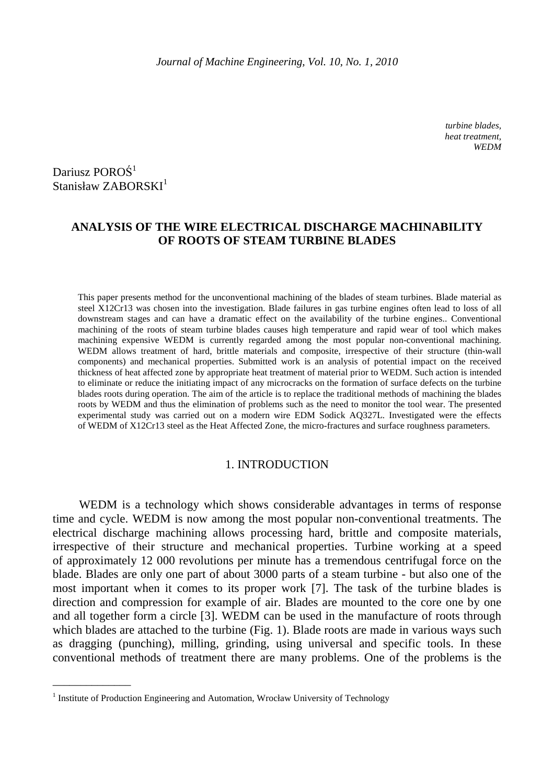*turbine blades, heat treatment, WEDM* 

Dariusz POROŚ<sup>1</sup> Stanisław ZABORSKI<sup>1</sup>

 $\overline{\phantom{a}}$  , we can also the contract of  $\overline{\phantom{a}}$ 

# **ANALYSIS OF THE WIRE ELECTRICAL DISCHARGE MACHINABILITY OF ROOTS OF STEAM TURBINE BLADES**

This paper presents method for the unconventional machining of the blades of steam turbines. Blade material as steel X12Cr13 was chosen into the investigation. Blade failures in gas turbine engines often lead to loss of all downstream stages and can have a dramatic effect on the availability of the turbine engines.. Conventional machining of the roots of steam turbine blades causes high temperature and rapid wear of tool which makes machining expensive WEDM is currently regarded among the most popular non-conventional machining. WEDM allows treatment of hard, brittle materials and composite, irrespective of their structure (thin-wall components) and mechanical properties. Submitted work is an analysis of potential impact on the received thickness of heat affected zone by appropriate heat treatment of material prior to WEDM. Such action is intended to eliminate or reduce the initiating impact of any microcracks on the formation of surface defects on the turbine blades roots during operation. The aim of the article is to replace the traditional methods of machining the blades roots by WEDM and thus the elimination of problems such as the need to monitor the tool wear. The presented experimental study was carried out on a modern wire EDM Sodick AQ327L. Investigated were the effects of WEDM of X12Cr13 steel as the Heat Affected Zone, the micro-fractures and surface roughness parameters.

## 1. INTRODUCTION

 WEDM is a technology which shows considerable advantages in terms of response time and cycle. WEDM is now among the most popular non-conventional treatments. The electrical discharge machining allows processing hard, brittle and composite materials, irrespective of their structure and mechanical properties. Turbine working at a speed of approximately 12 000 revolutions per minute has a tremendous centrifugal force on the blade. Blades are only one part of about 3000 parts of a steam turbine - but also one of the most important when it comes to its proper work [7]. The task of the turbine blades is direction and compression for example of air. Blades are mounted to the core one by one and all together form a circle [3]. WEDM can be used in the manufacture of roots through which blades are attached to the turbine (Fig. 1). Blade roots are made in various ways such as dragging (punching), milling, grinding, using universal and specific tools. In these conventional methods of treatment there are many problems. One of the problems is the

<sup>&</sup>lt;sup>1</sup> Institute of Production Engineering and Automation, Wrocław University of Technology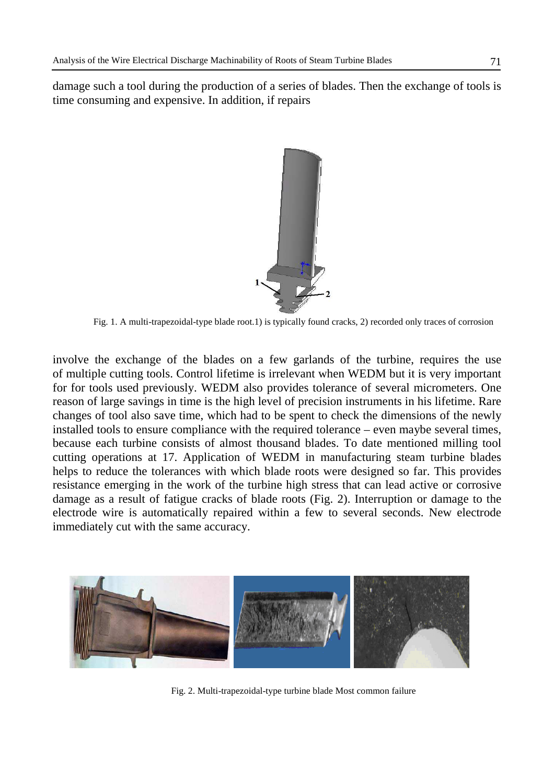damage such a tool during the production of a series of blades. Then the exchange of tools is time consuming and expensive. In addition, if repairs



Fig. 1. A multi-trapezoidal-type blade root.1) is typically found cracks, 2) recorded only traces of corrosion

involve the exchange of the blades on a few garlands of the turbine, requires the use of multiple cutting tools. Control lifetime is irrelevant when WEDM but it is very important for for tools used previously. WEDM also provides tolerance of several micrometers. One reason of large savings in time is the high level of precision instruments in his lifetime. Rare changes of tool also save time, which had to be spent to check the dimensions of the newly installed tools to ensure compliance with the required tolerance – even maybe several times, because each turbine consists of almost thousand blades. To date mentioned milling tool cutting operations at 17. Application of WEDM in manufacturing steam turbine blades helps to reduce the tolerances with which blade roots were designed so far. This provides resistance emerging in the work of the turbine high stress that can lead active or corrosive damage as a result of fatigue cracks of blade roots (Fig. 2). Interruption or damage to the electrode wire is automatically repaired within a few to several seconds. New electrode immediately cut with the same accuracy.



Fig. 2. Multi-trapezoidal-type turbine blade Most common failure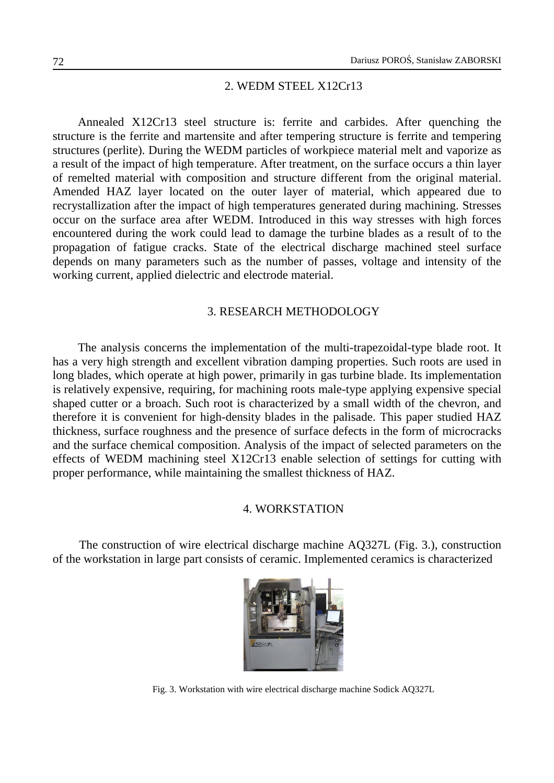### 2. WEDM STEEL X12Cr13

Annealed X12Cr13 steel structure is: ferrite and carbides. After quenching the structure is the ferrite and martensite and after tempering structure is ferrite and tempering structures (perlite). During the WEDM particles of workpiece material melt and vaporize as a result of the impact of high temperature. After treatment, on the surface occurs a thin layer of remelted material with composition and structure different from the original material. Amended HAZ layer located on the outer layer of material, which appeared due to recrystallization after the impact of high temperatures generated during machining. Stresses occur on the surface area after WEDM. Introduced in this way stresses with high forces encountered during the work could lead to damage the turbine blades as a result of to the propagation of fatigue cracks. State of the electrical discharge machined steel surface depends on many parameters such as the number of passes, voltage and intensity of the working current, applied dielectric and electrode material.

## 3. RESEARCH METHODOLOGY

The analysis concerns the implementation of the multi-trapezoidal-type blade root. It has a very high strength and excellent vibration damping properties. Such roots are used in long blades, which operate at high power, primarily in gas turbine blade. Its implementation is relatively expensive, requiring, for machining roots male-type applying expensive special shaped cutter or a broach. Such root is characterized by a small width of the chevron, and therefore it is convenient for high-density blades in the palisade. This paper studied HAZ thickness, surface roughness and the presence of surface defects in the form of microcracks and the surface chemical composition. Analysis of the impact of selected parameters on the effects of WEDM machining steel X12Cr13 enable selection of settings for cutting with proper performance, while maintaining the smallest thickness of HAZ.

## 4. WORKSTATION

 The construction of wire electrical discharge machine AQ327L (Fig. 3.), construction of the workstation in large part consists of ceramic. Implemented ceramics is characterized



Fig. 3. Workstation with wire electrical discharge machine Sodick AQ327L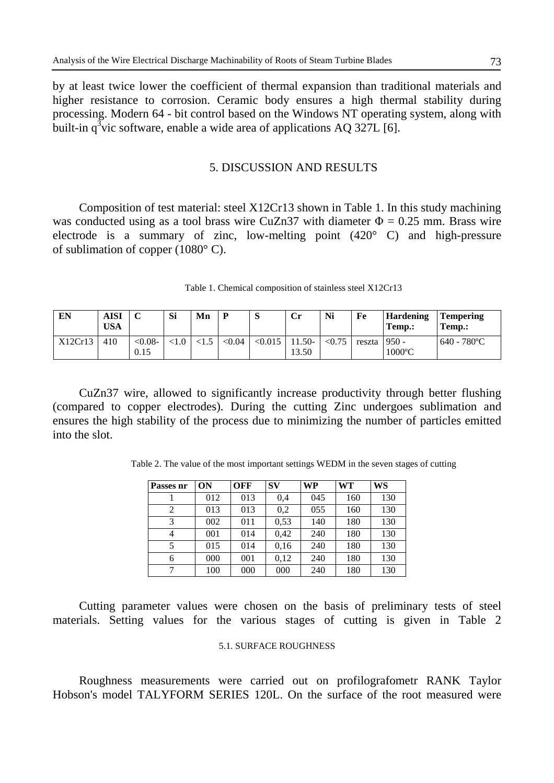by at least twice lower the coefficient of thermal expansion than traditional materials and higher resistance to corrosion. Ceramic body ensures a high thermal stability during processing. Modern 64 - bit control based on the Windows NT operating system, along with built-in  $q^3$ vic software, enable a wide area of applications AQ 327L [6].

## 5. DISCUSSION AND RESULTS

Composition of test material: steel X12Cr13 shown in Table 1. In this study machining was conducted using as a tool brass wire CuZn37 with diameter  $\Phi = 0.25$  mm. Brass wire electrode is a summary of zinc, low-melting point (420° C) and high-pressure of sublimation of copper (1080° C).

|  |  |  |  | Table 1. Chemical composition of stainless steel X12Cr13 |
|--|--|--|--|----------------------------------------------------------|
|--|--|--|--|----------------------------------------------------------|

| EN      | AISI<br>USA | ◡                  | Si | Mn |        | $\mathbf{C}$<br>D | $\mathbf{C}$ r   | Ni     | Fe             | <b>Hardening</b><br>Temp.: | Tempering<br>Temp.:  |
|---------|-------------|--------------------|----|----|--------|-------------------|------------------|--------|----------------|----------------------------|----------------------|
| X12Cr13 | 410         | $< 0.08 -$<br>0.15 |    |    | < 0.04 | < 0.015           | $1.50-$<br>13.50 | < 0.75 | reszta $950 -$ | $1000^{\circ}$ C           | $640 - 780^{\circ}C$ |

 CuZn37 wire, allowed to significantly increase productivity through better flushing (compared to copper electrodes). During the cutting Zinc undergoes sublimation and ensures the high stability of the process due to minimizing the number of particles emitted into the slot.

Table 2. The value of the most important settings WEDM in the seven stages of cutting

| Passes nr      | ON  | OFF | <b>SV</b> | <b>WP</b> | <b>WT</b> | WS  |
|----------------|-----|-----|-----------|-----------|-----------|-----|
|                | 012 | 013 | 0,4       | 045       | 160       | 130 |
| 2              | 013 | 013 | 0,2       | 055       | 160       | 130 |
| 3              | 002 | 011 | 0,53      | 140       | 180       | 130 |
| $\overline{4}$ | 001 | 014 | 0,42      | 240       | 180       | 130 |
| 5              | 015 | 014 | 0,16      | 240       | 180       | 130 |
| 6              | 000 | 001 | 0,12      | 240       | 180       | 130 |
|                | 100 | 000 | 000       | 240       | 180       | 130 |

 Cutting parameter values were chosen on the basis of preliminary tests of steel materials. Setting values for the various stages of cutting is given in Table 2

# 5.1. SURFACE ROUGHNESS

Roughness measurements were carried out on profilografometr RANK Taylor Hobson's model TALYFORM SERIES 120L. On the surface of the root measured were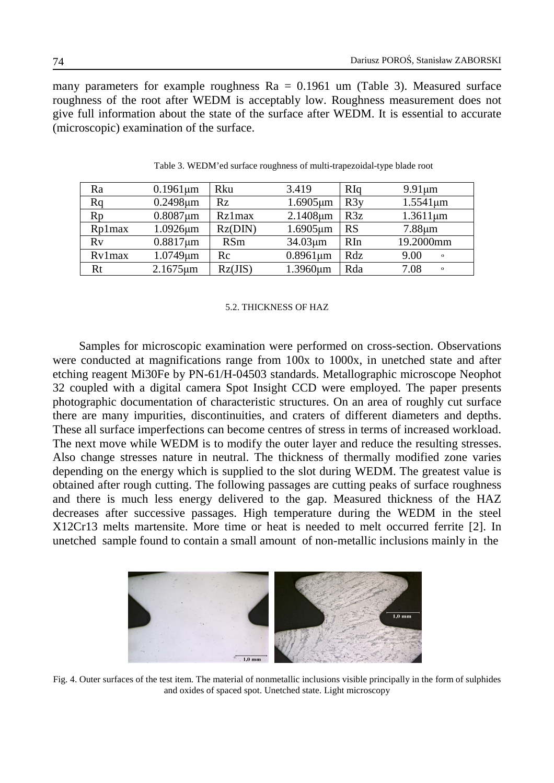many parameters for example roughness Ra = 0.1961 um (Table 3). Measured surface roughness of the root after WEDM is acceptably low. Roughness measurement does not give full information about the state of the surface after WEDM. It is essential to accurate (microscopic) examination of the surface.

| Ra     | $0.1961 \mu m$ | Rku        | 3.419          | RIq       | $9.91 \mu m$              |
|--------|----------------|------------|----------------|-----------|---------------------------|
| Rq     | $0.2498 \mu m$ | Rz         | $1.6905 \mu m$ | R3y       | $1.5541 \,\mathrm{\mu m}$ |
| Rp     | $0.8087 \mu m$ | Rz1max     | $2.1408 \mu m$ | R3z       | $1.3611 \mu m$            |
| Rp1max | $1.0926 \mu m$ | Rz(DIN)    | $1.6905 \mu m$ | <b>RS</b> | $7.88 \mu m$              |
| Rv     | $0.8817 \mu m$ | <b>RSm</b> | $34.03 \mu m$  | RIn       | 19.2000mm                 |
| Ry1max | $1.0749 \mu m$ | Rc         | $0.8961 \mu m$ | Rdz       | 9.00<br>$\mathbf{o}$      |
| Rt     | $2.1675 \mu m$ | Rz(JIS)    | 1.3960um       | Rda       | 7.08<br>$\mathbf{o}$      |

Table 3. WEDM'ed surface roughness of multi-trapezoidal-type blade root

### 5.2. THICKNESS OF HAZ

Samples for microscopic examination were performed on cross-section. Observations were conducted at magnifications range from 100x to 1000x, in unetched state and after etching reagent Mi30Fe by PN-61/H-04503 standards. Metallographic microscope Neophot 32 coupled with a digital camera Spot Insight CCD were employed. The paper presents photographic documentation of characteristic structures. On an area of roughly cut surface there are many impurities, discontinuities, and craters of different diameters and depths. These all surface imperfections can become centres of stress in terms of increased workload. The next move while WEDM is to modify the outer layer and reduce the resulting stresses. Also change stresses nature in neutral. The thickness of thermally modified zone varies depending on the energy which is supplied to the slot during WEDM. The greatest value is obtained after rough cutting. The following passages are cutting peaks of surface roughness and there is much less energy delivered to the gap. Measured thickness of the HAZ decreases after successive passages. High temperature during the WEDM in the steel X12Cr13 melts martensite. More time or heat is needed to melt occurred ferrite [2]. In unetched sample found to contain a small amount of non-metallic inclusions mainly in the



Fig. 4. Outer surfaces of the test item. The material of nonmetallic inclusions visible principally in the form of sulphides and oxides of spaced spot. Unetched state. Light microscopy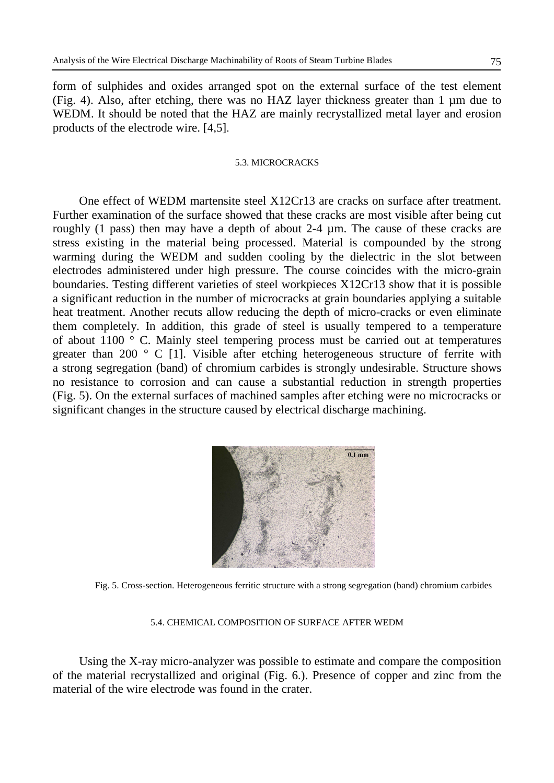form of sulphides and oxides arranged spot on the external surface of the test element (Fig. 4). Also, after etching, there was no HAZ layer thickness greater than 1 µm due to WEDM. It should be noted that the HAZ are mainly recrystallized metal layer and erosion products of the electrode wire. [4,5].

### 5.3. MICROCRACKS

One effect of WEDM martensite steel X12Cr13 are cracks on surface after treatment. Further examination of the surface showed that these cracks are most visible after being cut roughly (1 pass) then may have a depth of about 2-4 µm. The cause of these cracks are stress existing in the material being processed. Material is compounded by the strong warming during the WEDM and sudden cooling by the dielectric in the slot between electrodes administered under high pressure. The course coincides with the micro-grain boundaries. Testing different varieties of steel workpieces X12Cr13 show that it is possible a significant reduction in the number of microcracks at grain boundaries applying a suitable heat treatment. Another recuts allow reducing the depth of micro-cracks or even eliminate them completely. In addition, this grade of steel is usually tempered to a temperature of about 1100 ° C. Mainly steel tempering process must be carried out at temperatures greater than 200  $\degree$  C [1]. Visible after etching heterogeneous structure of ferrite with a strong segregation (band) of chromium carbides is strongly undesirable. Structure shows no resistance to corrosion and can cause a substantial reduction in strength properties (Fig. 5). On the external surfaces of machined samples after etching were no microcracks or significant changes in the structure caused by electrical discharge machining.



Fig. 5. Cross-section. Heterogeneous ferritic structure with a strong segregation (band) chromium carbides

### 5.4. CHEMICAL COMPOSITION OF SURFACE AFTER WEDM

Using the X-ray micro-analyzer was possible to estimate and compare the composition of the material recrystallized and original (Fig. 6.). Presence of copper and zinc from the material of the wire electrode was found in the crater.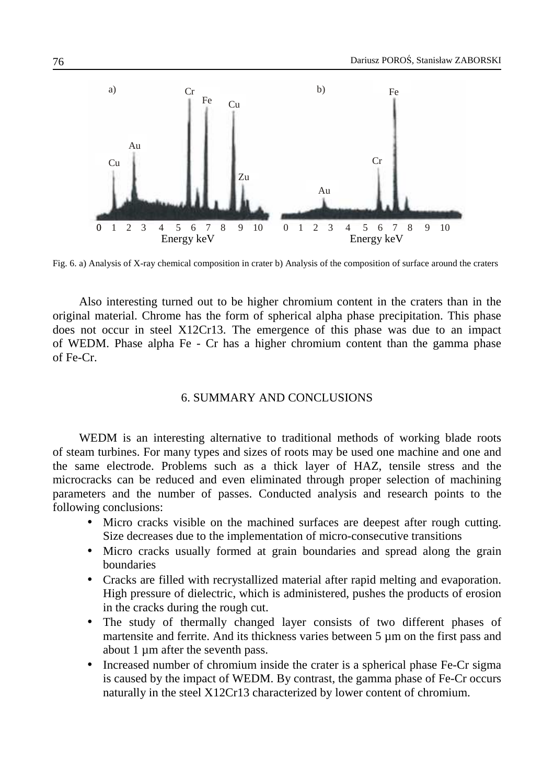

Fig. 6. a) Analysis of X-ray chemical composition in crater b) Analysis of the composition of surface around the craters

Also interesting turned out to be higher chromium content in the craters than in the original material. Chrome has the form of spherical alpha phase precipitation. This phase does not occur in steel X12Cr13. The emergence of this phase was due to an impact of WEDM. Phase alpha Fe - Cr has a higher chromium content than the gamma phase of Fe-Cr.

## 6. SUMMARY AND CONCLUSIONS

WEDM is an interesting alternative to traditional methods of working blade roots of steam turbines. For many types and sizes of roots may be used one machine and one and the same electrode. Problems such as a thick layer of HAZ, tensile stress and the microcracks can be reduced and even eliminated through proper selection of machining parameters and the number of passes. Conducted analysis and research points to the following conclusions:

- Micro cracks visible on the machined surfaces are deepest after rough cutting. Size decreases due to the implementation of micro-consecutive transitions
- Micro cracks usually formed at grain boundaries and spread along the grain boundaries
- Cracks are filled with recrystallized material after rapid melting and evaporation. High pressure of dielectric, which is administered, pushes the products of erosion in the cracks during the rough cut.
- The study of thermally changed layer consists of two different phases of martensite and ferrite. And its thickness varies between 5 µm on the first pass and about 1 µm after the seventh pass.
- Increased number of chromium inside the crater is a spherical phase Fe-Cr sigma is caused by the impact of WEDM. By contrast, the gamma phase of Fe-Cr occurs naturally in the steel X12Cr13 characterized by lower content of chromium.